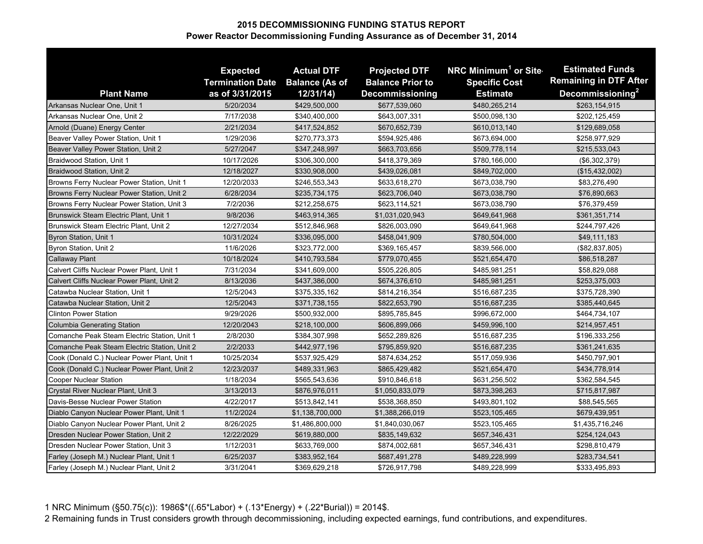| <b>Plant Name</b>                            | <b>Expected</b><br><b>Termination Date</b><br>as of 3/31/2015 | <b>Actual DTF</b><br><b>Balance (As of</b><br>12/31/14) | <b>Projected DTF</b><br><b>Balance Prior to</b><br><b>Decommissioning</b> | NRC Minimum <sup>1</sup> or Site<br><b>Specific Cost</b><br><b>Estimate</b> | <b>Estimated Funds</b><br><b>Remaining in DTF After</b><br>Decommissioning <sup>2</sup> |
|----------------------------------------------|---------------------------------------------------------------|---------------------------------------------------------|---------------------------------------------------------------------------|-----------------------------------------------------------------------------|-----------------------------------------------------------------------------------------|
| Arkansas Nuclear One, Unit 1                 | 5/20/2034                                                     | \$429,500,000                                           | \$677,539,060                                                             | \$480,265,214                                                               | \$263,154,915                                                                           |
| Arkansas Nuclear One, Unit 2                 | 7/17/2038                                                     | \$340.400.000                                           | \$643,007,331                                                             | \$500,098,130                                                               | \$202,125,459                                                                           |
| Arnold (Duane) Energy Center                 | 2/21/2034                                                     | \$417,524,852                                           | \$670,652,739                                                             | \$610,013,140                                                               | \$129,689,058                                                                           |
| Beaver Valley Power Station, Unit 1          | 1/29/2036                                                     | \$270,773,373                                           | \$594,925,486                                                             | \$673,694,000                                                               | \$258,977,929                                                                           |
| Beaver Valley Power Station, Unit 2          | 5/27/2047                                                     | \$347,248,997                                           | \$663,703,656                                                             | \$509,778,114                                                               | \$215,533,043                                                                           |
| Braidwood Station, Unit 1                    | 10/17/2026                                                    | \$306,300,000                                           | \$418,379,369                                                             | \$780,166,000                                                               | (\$6,302,379)                                                                           |
| Braidwood Station, Unit 2                    | 12/18/2027                                                    | \$330,908,000                                           | \$439,026,081                                                             | \$849,702,000                                                               | (\$15,432,002)                                                                          |
| Browns Ferry Nuclear Power Station, Unit 1   | 12/20/2033                                                    | \$246,553,343                                           | \$633,618,270                                                             | \$673,038,790                                                               | \$83,276,490                                                                            |
| Browns Ferry Nuclear Power Station, Unit 2   | 6/28/2034                                                     | \$235,734,175                                           | \$623,706,040                                                             | \$673,038,790                                                               | \$76,890,663                                                                            |
| Browns Ferry Nuclear Power Station, Unit 3   | 7/2/2036                                                      | \$212,258,675                                           | \$623,114,521                                                             | \$673,038,790                                                               | \$76,379,459                                                                            |
| Brunswick Steam Electric Plant, Unit 1       | 9/8/2036                                                      | \$463,914,365                                           | \$1,031,020,943                                                           | \$649,641,968                                                               | \$361,351,714                                                                           |
| Brunswick Steam Electric Plant, Unit 2       | 12/27/2034                                                    | \$512,846,968                                           | \$826,003,090                                                             | \$649,641,968                                                               | \$244,797,426                                                                           |
| Byron Station, Unit 1                        | 10/31/2024                                                    | \$336,095,000                                           | \$458,041,909                                                             | \$780,504,000                                                               | \$49,111,183                                                                            |
| Byron Station, Unit 2                        | 11/6/2026                                                     | \$323,772,000                                           | \$369,165,457                                                             | \$839,566,000                                                               | (\$82, 837, 805)                                                                        |
| <b>Callaway Plant</b>                        | 10/18/2024                                                    | \$410,793,584                                           | \$779,070,455                                                             | \$521,654,470                                                               | \$86,518,287                                                                            |
| Calvert Cliffs Nuclear Power Plant, Unit 1   | 7/31/2034                                                     | \$341,609,000                                           | \$505,226,805                                                             | \$485,981,251                                                               | \$58,829,088                                                                            |
| Calvert Cliffs Nuclear Power Plant, Unit 2   | 8/13/2036                                                     | \$437,386,000                                           | \$674,376,610                                                             | \$485,981,251                                                               | \$253,375,003                                                                           |
| Catawba Nuclear Station, Unit 1              | 12/5/2043                                                     | \$375,335,162                                           | \$814,216,354                                                             | \$516,687,235                                                               | \$375,728,390                                                                           |
| Catawba Nuclear Station, Unit 2              | 12/5/2043                                                     | \$371,738,155                                           | \$822,653,790                                                             | \$516,687,235                                                               | \$385,440,645                                                                           |
| <b>Clinton Power Station</b>                 | 9/29/2026                                                     | \$500,932,000                                           | \$895,785,845                                                             | \$996,672,000                                                               | \$464,734,107                                                                           |
| <b>Columbia Generating Station</b>           | 12/20/2043                                                    | \$218,100,000                                           | \$606,899,066                                                             | \$459,996,100                                                               | \$214,957,451                                                                           |
| Comanche Peak Steam Electric Station, Unit 1 | 2/8/2030                                                      | \$384,307,998                                           | \$652,289,826                                                             | \$516,687,235                                                               | \$196,333,256                                                                           |
| Comanche Peak Steam Electric Station, Unit 2 | 2/2/2033                                                      | \$442,977,196                                           | \$795,859,920                                                             | \$516,687,235                                                               | \$361,241,635                                                                           |
| Cook (Donald C.) Nuclear Power Plant, Unit 1 | 10/25/2034                                                    | \$537,925,429                                           | \$874,634,252                                                             | \$517,059,936                                                               | \$450,797,901                                                                           |
| Cook (Donald C.) Nuclear Power Plant, Unit 2 | 12/23/2037                                                    | \$489,331,963                                           | \$865,429,482                                                             | \$521,654,470                                                               | \$434,778,914                                                                           |
| Cooper Nuclear Station                       | 1/18/2034                                                     | \$565,543,636                                           | \$910,846,618                                                             | \$631,256,502                                                               | \$362,584,545                                                                           |
| Crystal River Nuclear Plant, Unit 3          | 3/13/2013                                                     | \$876,976,011                                           | \$1,050,833,079                                                           | \$873,398,263                                                               | \$715,817,987                                                                           |
| Davis-Besse Nuclear Power Station            | 4/22/2017                                                     | \$513,842,141                                           | \$538,368,850                                                             | \$493,801,102                                                               | \$88,545,565                                                                            |
| Diablo Canyon Nuclear Power Plant, Unit 1    | 11/2/2024                                                     | \$1,138,700,000                                         | \$1,388,266,019                                                           | \$523,105,465                                                               | \$679,439,951                                                                           |
| Diablo Canyon Nuclear Power Plant, Unit 2    | 8/26/2025                                                     | \$1,486,800,000                                         | \$1,840,030,067                                                           | \$523,105,465                                                               | \$1,435,716,246                                                                         |
| Dresden Nuclear Power Station, Unit 2        | 12/22/2029                                                    | \$619,880,000                                           | \$835,149,632                                                             | \$657,346,431                                                               | \$254,124,043                                                                           |
| Dresden Nuclear Power Station, Unit 3        | 1/12/2031                                                     | \$633,769,000                                           | \$874,002,681                                                             | \$657,346,431                                                               | \$298,810,479                                                                           |
| Farley (Joseph M.) Nuclear Plant, Unit 1     | 6/25/2037                                                     | \$383,952,164                                           | \$687,491,278                                                             | \$489,228,999                                                               | \$283,734,541                                                                           |
| Farley (Joseph M.) Nuclear Plant, Unit 2     | 3/31/2041                                                     | \$369,629,218                                           | \$726,917,798                                                             | \$489,228,999                                                               | \$333,495,893                                                                           |

1 NRC Minimum (§50.75(c)): 1986\$\*((.65\*Labor) + (.13\*Energy) + (.22\*Burial)) = 2014\$.

2 Remaining funds in Trust considers growth through decommissioning, including expected earnings, fund contributions, and expenditures.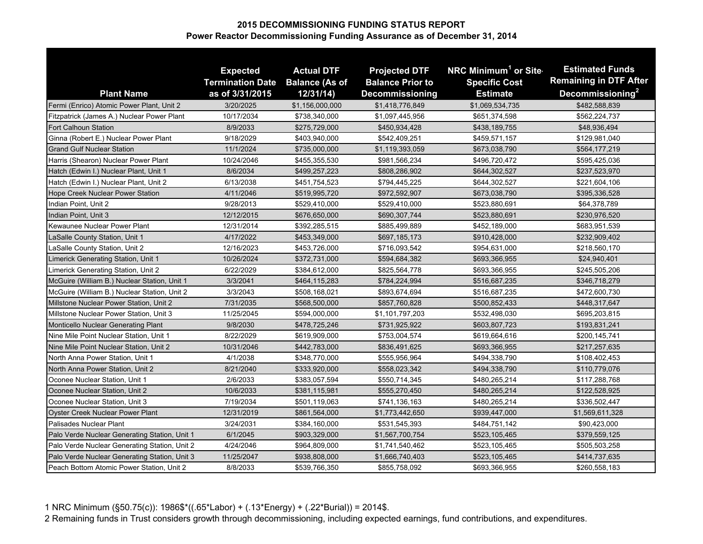| <b>Plant Name</b>                             | <b>Expected</b><br><b>Termination Date</b><br>as of 3/31/2015 | <b>Actual DTF</b><br><b>Balance (As of</b><br>12/31/14) | <b>Projected DTF</b><br><b>Balance Prior to</b><br><b>Decommissioning</b> | NRC Minimum <sup>1</sup> or Site<br><b>Specific Cost</b><br><b>Estimate</b> | <b>Estimated Funds</b><br><b>Remaining in DTF After</b><br>Decommissioning <sup>2</sup> |
|-----------------------------------------------|---------------------------------------------------------------|---------------------------------------------------------|---------------------------------------------------------------------------|-----------------------------------------------------------------------------|-----------------------------------------------------------------------------------------|
| Fermi (Enrico) Atomic Power Plant, Unit 2     | 3/20/2025                                                     | \$1,156,000,000                                         | \$1,418,776,849                                                           | \$1,069,534,735                                                             | \$482,588,839                                                                           |
| Fitzpatrick (James A.) Nuclear Power Plant    | 10/17/2034                                                    | \$738,340,000                                           | \$1,097,445,956                                                           | \$651,374,598                                                               | \$562,224,737                                                                           |
| <b>Fort Calhoun Station</b>                   | 8/9/2033                                                      | \$275,729,000                                           | \$450,934,428                                                             | \$438,189,755                                                               | \$48,936,494                                                                            |
| Ginna (Robert E.) Nuclear Power Plant         | 9/18/2029                                                     | \$403,940,000                                           | \$542,409,251                                                             | \$459,571,157                                                               | \$129,981,040                                                                           |
| <b>Grand Gulf Nuclear Station</b>             | 11/1/2024                                                     | \$735,000,000                                           | \$1,119,393,059                                                           | \$673,038,790                                                               | \$564,177,219                                                                           |
| Harris (Shearon) Nuclear Power Plant          | 10/24/2046                                                    | \$455,355,530                                           | \$981,566,234                                                             | \$496,720,472                                                               | \$595,425,036                                                                           |
| Hatch (Edwin I.) Nuclear Plant, Unit 1        | 8/6/2034                                                      | \$499,257,223                                           | \$808,286,902                                                             | \$644,302,527                                                               | \$237,523,970                                                                           |
| Hatch (Edwin I.) Nuclear Plant, Unit 2        | 6/13/2038                                                     | \$451,754,523                                           | \$794,445,225                                                             | \$644,302,527                                                               | \$221,604,106                                                                           |
| Hope Creek Nuclear Power Station              | 4/11/2046                                                     | \$519,995,720                                           | \$972,592,907                                                             | \$673,038,790                                                               | \$395,336,528                                                                           |
| Indian Point, Unit 2                          | 9/28/2013                                                     | \$529,410,000                                           | \$529,410,000                                                             | \$523,880,691                                                               | \$64,378,789                                                                            |
| Indian Point, Unit 3                          | 12/12/2015                                                    | \$676,650,000                                           | \$690,307,744                                                             | \$523,880,691                                                               | \$230,976,520                                                                           |
| Kewaunee Nuclear Power Plant                  | 12/31/2014                                                    | \$392,285,515                                           | \$885,499,889                                                             | \$452,189,000                                                               | \$683,951,539                                                                           |
| LaSalle County Station, Unit 1                | 4/17/2022                                                     | \$453,349,000                                           | \$697,185,173                                                             | \$910,428,000                                                               | \$232,909,402                                                                           |
| LaSalle County Station, Unit 2                | 12/16/2023                                                    | \$453,726,000                                           | \$716,093,542                                                             | \$954,631,000                                                               | \$218,560,170                                                                           |
| Limerick Generating Station, Unit 1           | 10/26/2024                                                    | \$372,731,000                                           | \$594,684,382                                                             | \$693,366,955                                                               | \$24,940,401                                                                            |
| Limerick Generating Station, Unit 2           | 6/22/2029                                                     | \$384,612,000                                           | \$825,564,778                                                             | \$693,366,955                                                               | \$245,505,206                                                                           |
| McGuire (William B.) Nuclear Station, Unit 1  | 3/3/2041                                                      | \$464,115,283                                           | \$784,224,994                                                             | \$516,687,235                                                               | \$346,718,279                                                                           |
| McGuire (William B.) Nuclear Station, Unit 2  | 3/3/2043                                                      | \$508,168,021                                           | \$893,674,694                                                             | \$516,687,235                                                               | \$472,600,730                                                                           |
| Millstone Nuclear Power Station, Unit 2       | 7/31/2035                                                     | \$568,500,000                                           | \$857,760,828                                                             | \$500,852,433                                                               | \$448,317,647                                                                           |
| Millstone Nuclear Power Station, Unit 3       | 11/25/2045                                                    | \$594,000,000                                           | \$1,101,797,203                                                           | \$532,498,030                                                               | \$695,203,815                                                                           |
| Monticello Nuclear Generating Plant           | 9/8/2030                                                      | \$478,725,246                                           | \$731,925,922                                                             | \$603,807,723                                                               | \$193,831,241                                                                           |
| Nine Mile Point Nuclear Station, Unit 1       | 8/22/2029                                                     | \$619,909,000                                           | \$753,004,574                                                             | \$619,664,616                                                               | \$200,145,741                                                                           |
| Nine Mile Point Nuclear Station, Unit 2       | 10/31/2046                                                    | \$442,783,000                                           | \$836,491,625                                                             | \$693,366,955                                                               | \$217,257,635                                                                           |
| North Anna Power Station, Unit 1              | 4/1/2038                                                      | \$348,770,000                                           | \$555,956,964                                                             | \$494,338,790                                                               | \$108,402,453                                                                           |
| North Anna Power Station, Unit 2              | 8/21/2040                                                     | \$333,920,000                                           | \$558,023,342                                                             | \$494,338,790                                                               | \$110,779,076                                                                           |
| Oconee Nuclear Station, Unit 1                | 2/6/2033                                                      | \$383,057,594                                           | \$550,714,345                                                             | \$480,265,214                                                               | \$117,288,768                                                                           |
| Oconee Nuclear Station, Unit 2                | 10/6/2033                                                     | \$381,115,981                                           | \$555,270,450                                                             | \$480,265,214                                                               | \$122,528,925                                                                           |
| Oconee Nuclear Station, Unit 3                | 7/19/2034                                                     | \$501,119,063                                           | \$741,136,163                                                             | \$480,265,214                                                               | \$336,502,447                                                                           |
| <b>Oyster Creek Nuclear Power Plant</b>       | 12/31/2019                                                    | \$861,564,000                                           | \$1,773,442,650                                                           | \$939,447,000                                                               | \$1,569,611,328                                                                         |
| Palisades Nuclear Plant                       | 3/24/2031                                                     | \$384,160,000                                           | \$531,545,393                                                             | \$484,751,142                                                               | \$90,423,000                                                                            |
| Palo Verde Nuclear Generating Station, Unit 1 | 6/1/2045                                                      | \$903,329,000                                           | \$1,567,700,754                                                           | \$523,105,465                                                               | \$379,559,125                                                                           |
| Palo Verde Nuclear Generating Station, Unit 2 | 4/24/2046                                                     | \$964,809,000                                           | \$1,741,540,462                                                           | \$523,105,465                                                               | \$505,503,258                                                                           |
| Palo Verde Nuclear Generating Station, Unit 3 | 11/25/2047                                                    | \$938,808,000                                           | \$1,666,740,403                                                           | \$523,105,465                                                               | \$414,737,635                                                                           |
| Peach Bottom Atomic Power Station, Unit 2     | 8/8/2033                                                      | \$539,766,350                                           | \$855,758,092                                                             | \$693,366,955                                                               | \$260,558,183                                                                           |

1 NRC Minimum (§50.75(c)): 1986\$\*((.65\*Labor) + (.13\*Energy) + (.22\*Burial)) = 2014\$.

2 Remaining funds in Trust considers growth through decommissioning, including expected earnings, fund contributions, and expenditures.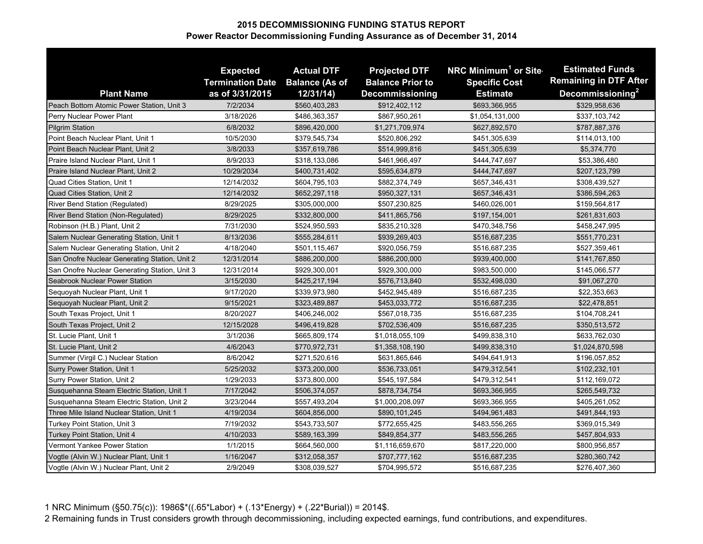| <b>Plant Name</b>                             | <b>Expected</b><br><b>Termination Date</b><br>as of 3/31/2015 | <b>Actual DTF</b><br><b>Balance (As of</b><br>12/31/14) | <b>Projected DTF</b><br><b>Balance Prior to</b><br><b>Decommissioning</b> | NRC Minimum <sup>1</sup> or Site<br><b>Specific Cost</b><br><b>Estimate</b> | <b>Estimated Funds</b><br><b>Remaining in DTF After</b><br>Decommissioning <sup>2</sup> |
|-----------------------------------------------|---------------------------------------------------------------|---------------------------------------------------------|---------------------------------------------------------------------------|-----------------------------------------------------------------------------|-----------------------------------------------------------------------------------------|
| Peach Bottom Atomic Power Station, Unit 3     | 7/2/2034                                                      | \$560,403,283                                           | \$912,402,112                                                             | \$693.366.955                                                               | \$329,958,636                                                                           |
| Perry Nuclear Power Plant                     | 3/18/2026                                                     | \$486,363,357                                           | \$867,950,261                                                             | \$1,054,131,000                                                             | \$337,103,742                                                                           |
| <b>Pilgrim Station</b>                        | 6/8/2032                                                      | \$896.420.000                                           | \$1,271,709,974                                                           | \$627,892,570                                                               | \$787,887,376                                                                           |
| Point Beach Nuclear Plant, Unit 1             | 10/5/2030                                                     | \$379,545,734                                           | \$520,806,292                                                             | \$451,305,639                                                               | \$114,013,100                                                                           |
| Point Beach Nuclear Plant, Unit 2             | 3/8/2033                                                      | \$357,619,786                                           | \$514,999,816                                                             | \$451,305,639                                                               | \$5,374,770                                                                             |
| Praire Island Nuclear Plant, Unit 1           | 8/9/2033                                                      | \$318,133,086                                           | \$461,966,497                                                             | \$444,747,697                                                               | \$53,386,480                                                                            |
| Praire Island Nuclear Plant, Unit 2           | 10/29/2034                                                    | \$400,731,402                                           | \$595,634,879                                                             | \$444,747,697                                                               | \$207,123,799                                                                           |
| Quad Cities Station, Unit 1                   | 12/14/2032                                                    | \$604,795,103                                           | \$882,374,749                                                             | \$657,346,431                                                               | \$308,439,527                                                                           |
| Quad Cities Station, Unit 2                   | 12/14/2032                                                    | \$652,297,118                                           | \$950,327,131                                                             | \$657,346,431                                                               | \$386,594,263                                                                           |
| River Bend Station (Regulated)                | 8/29/2025                                                     | \$305,000,000                                           | \$507,230,825                                                             | \$460,026,001                                                               | \$159,564,817                                                                           |
| River Bend Station (Non-Regulated)            | 8/29/2025                                                     | \$332,800,000                                           | \$411,865,756                                                             | \$197,154,001                                                               | \$261,831,603                                                                           |
| Robinson (H.B.) Plant, Unit 2                 | 7/31/2030                                                     | \$524,950,593                                           | \$835,210,328                                                             | \$470,348,756                                                               | \$458,247,995                                                                           |
| Salem Nuclear Generating Station, Unit 1      | 8/13/2036                                                     | \$555,284,611                                           | \$939,269,403                                                             | \$516,687,235                                                               | \$551,770,231                                                                           |
| Salem Nuclear Generating Station, Unit 2      | 4/18/2040                                                     | \$501,115,467                                           | \$920,056,759                                                             | \$516,687,235                                                               | \$527,359,461                                                                           |
| San Onofre Nuclear Generating Station, Unit 2 | 12/31/2014                                                    | \$886,200,000                                           | \$886,200,000                                                             | \$939,400,000                                                               | \$141,767,850                                                                           |
| San Onofre Nuclear Generating Station, Unit 3 | 12/31/2014                                                    | \$929,300,001                                           | \$929,300,000                                                             | \$983,500,000                                                               | \$145,066,577                                                                           |
| Seabrook Nuclear Power Station                | 3/15/2030                                                     | \$425,217,194                                           | \$576,713,840                                                             | \$532,498,030                                                               | \$91,067,270                                                                            |
| Seguoyah Nuclear Plant, Unit 1                | 9/17/2020                                                     | \$339,973,980                                           | \$452,945,489                                                             | \$516,687,235                                                               | \$22,353,663                                                                            |
| Sequoyah Nuclear Plant, Unit 2                | 9/15/2021                                                     | \$323,489,887                                           | \$453,033,772                                                             | \$516,687,235                                                               | \$22,478,851                                                                            |
| South Texas Project, Unit 1                   | 8/20/2027                                                     | \$406,246,002                                           | \$567,018,735                                                             | \$516,687,235                                                               | \$104,708,241                                                                           |
| South Texas Project, Unit 2                   | 12/15/2028                                                    | \$496,419,828                                           | \$702,536,409                                                             | \$516,687,235                                                               | \$350,513,572                                                                           |
| St. Lucie Plant, Unit 1                       | 3/1/2036                                                      | \$665,809,174                                           | \$1,018,055,109                                                           | \$499,838,310                                                               | \$633,762,030                                                                           |
| St. Lucie Plant, Unit 2                       | 4/6/2043                                                      | \$770,972,731                                           | \$1,358,108,190                                                           | \$499,838,310                                                               | \$1,024,870,598                                                                         |
| Summer (Virgil C.) Nuclear Station            | 8/6/2042                                                      | \$271,520,616                                           | \$631,865,646                                                             | \$494,641,913                                                               | \$196,057,852                                                                           |
| Surry Power Station, Unit 1                   | 5/25/2032                                                     | \$373,200,000                                           | \$536,733,051                                                             | \$479,312,541                                                               | \$102,232,101                                                                           |
| Surry Power Station, Unit 2                   | 1/29/2033                                                     | \$373,800,000                                           | \$545,197,584                                                             | \$479,312,541                                                               | \$112,169,072                                                                           |
| Susquehanna Steam Electric Station, Unit 1    | 7/17/2042                                                     | \$506,374,057                                           | \$878,734,754                                                             | \$693,366,955                                                               | \$265,549,732                                                                           |
| Susquehanna Steam Electric Station, Unit 2    | 3/23/2044                                                     | \$557,493,204                                           | \$1,000,208,097                                                           | \$693,366,955                                                               | \$405,261,052                                                                           |
| Three Mile Island Nuclear Station, Unit 1     | 4/19/2034                                                     | \$604,856,000                                           | \$890,101,245                                                             | \$494,961,483                                                               | \$491,844,193                                                                           |
| Turkey Point Station, Unit 3                  | 7/19/2032                                                     | \$543,733,507                                           | \$772,655,425                                                             | \$483,556,265                                                               | \$369,015,349                                                                           |
| <b>Turkey Point Station, Unit 4</b>           | 4/10/2033                                                     | \$589,163,399                                           | \$849,854,377                                                             | \$483,556,265                                                               | \$457,804,933                                                                           |
| Vermont Yankee Power Station                  | 1/1/2015                                                      | \$664,560,000                                           | \$1,116,659,670                                                           | \$817,220,000                                                               | \$800,956,857                                                                           |
| Vogtle (Alvin W.) Nuclear Plant, Unit 1       | 1/16/2047                                                     | \$312,058,357                                           | \$707,777,162                                                             | \$516,687,235                                                               | \$280,360,742                                                                           |
| Vogtle (Alvin W.) Nuclear Plant, Unit 2       | 2/9/2049                                                      | \$308,039,527                                           | \$704,995,572                                                             | \$516,687,235                                                               | \$276,407,360                                                                           |

1 NRC Minimum (§50.75(c)): 1986\$\*((.65\*Labor) + (.13\*Energy) + (.22\*Burial)) = 2014\$.

2 Remaining funds in Trust considers growth through decommissioning, including expected earnings, fund contributions, and expenditures.